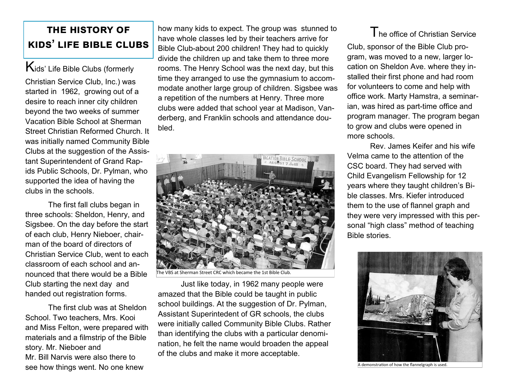## **the history of kids' life bible clubs**

Kids' Life Bible Clubs (formerly Christian Service Club, Inc.) was started in 1962, growing out of a desire to reach inner city children beyond the two weeks of summer Vacation Bible School at Sherman Street Christian Reformed Church. It was initially named Community Bible Clubs at the suggestion of the Assistant Superintendent of Grand Rapids Public Schools, Dr. Pylman, who supported the idea of having the clubs in the schools.

The first fall clubs began in three schools: Sheldon, Henry, and Sigsbee. On the day before the start of each club, Henry Nieboer, chairman of the board of directors of Christian Service Club, went to each classroom of each school and announced that there would be a Bible Club starting the next day and handed out registration forms.

The first club was at Sheldon School. Two teachers, Mrs. Kooi and Miss Felton, were prepared with materials and a filmstrip of the Bible story. Mr. Nieboer and Mr. Bill Narvis were also there to see how things went. No one knew

how many kids to expect. The group was stunned to have whole classes led by their teachers arrive for Bible Club-about 200 children! They had to quickly divide the children up and take them to three more rooms. The Henry School was the next day, but this time they arranged to use the gymnasium to accommodate another large group of children. Sigsbee was a repetition of the numbers at Henry. Three more clubs were added that school year at Madison, Vanderberg, and Franklin schools and attendance doubled.



The VBS at Sherman Street CRC which became the 1st Bible Club.

Just like today, in 1962 many people were amazed that the Bible could be taught in public school buildings. At the suggestion of Dr. Pylman, Assistant Superintedent of GR schools, the clubs were initially called Community Bible Clubs. Rather than identifying the clubs with a particular denomination, he felt the name would broaden the appeal of the clubs and make it more acceptable.

## The office of Christian Service

Club, sponsor of the Bible Club program, was moved to a new, larger location on Sheldon Ave. where they installed their first phone and had room for volunteers to come and help with office work. Marty Hamstra, a seminarian, was hired as part-time office and program manager. The program began to grow and clubs were opened in more schools.

Rev. James Keifer and his wife Velma came to the attention of the CSC board. They had served with Child Evangelism Fellowship for 12 years where they taught children's Bible classes. Mrs. Kiefer introduced them to the use of flannel graph and they were very impressed with this personal "high class" method of teaching Bible stories.



A demonstration of how the flannelgraph is used.